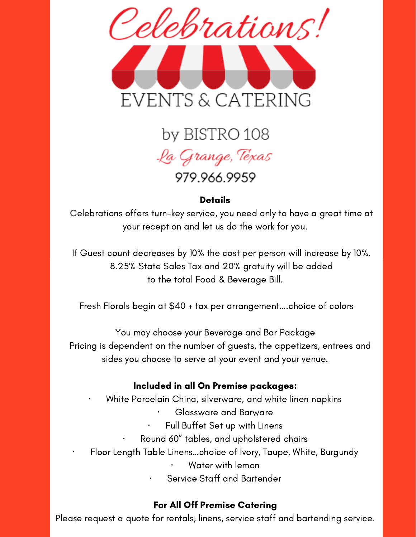

# by BISTRO 108 .La Grange, Texas 979.966.9959

# **Details**

Celebrations offers turn-key service, you need only to have a great time at your reception and let us do the work for you.

If Guest count decreases by 10% the cost per person will increase by 10%. 8.25% State Sales Tax and 20% gratuity will be added to the total Food & Beverage Bill.

Fresh Florals begin at \$40 + tax per arrangement….choice of colors

You may choose your Beverage and Bar Package Pricing is dependent on the number of guests, the appetizers, entrees and sides you choose to serve at your event and your venue.

# Included in all On Premise packages:

· White Porcelain China, silverware, and white linen napkins

- · Glassware and Barware
- Full Buffet Set up with Linens
- Round 60" tables, and upholstered chairs
- · Floor Length Table Linens…choice of Ivory, Taupe, White, Burgundy
	- · Water with lemon
	- Service Staff and Bartender

#### For All Off Premise Catering

Please request a quote for rentals, linens, service staff and bartending service.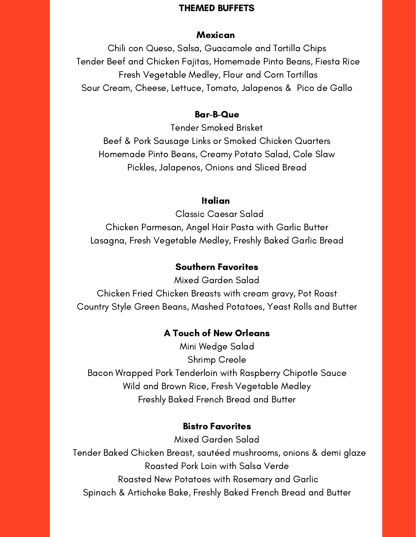#### THEMED BUFFETS

#### **Mexican**

Chili con Queso, Salsa, Guacamole and Tortilla Chips Tender Beef and Chicken Fajitas, Homemade Pinto Beans, Fiesta Rice Fresh Vegetable Medley, Flour and Corn Tortillas Sour Cream, Cheese, Lettuce, Tomato, Jalapenos & Pico de Gallo

#### Bar-B-Que

Tender Smoked Brisket Beef & Pork Sausage Links or Smoked Chicken Quarters Homemade Pinto Beans, Creamy Potato Salad, Cole Slaw Pickles, Jalapenos, Onions and Sliced Bread

#### Italian

Classic Caesar Salad Chicken Parmesan, Angel Hair Pasta with Garlic Butter Lasagna, Fresh Vegetable Medley, Freshly Baked Garlic Bread

# Southern Favorites

Mixed Garden Salad Chicken Fried Chicken Breasts with cream gravy, Pot Roast Country Style Green Beans, Mashed Potatoes, Yeast Rolls and Butter

# A Touch of New Orleans

Mini Wedge Salad Shrimp Creole Bacon Wrapped Pork Tenderloin with Raspberry Chipotle Sauce Wild and Brown Rice, Fresh Vegetable Medley Freshly Baked French Bread and Butter

# Bistro Favorites

Mixed Garden Salad Tender Baked Chicken Breast, sautéed mushrooms, onions & demi glaze Roasted Pork Loin with Salsa Verde Roasted New Potatoes with Rosemary and Garlic Spinach & Artichoke Bake, Freshly Baked French Bread and Butter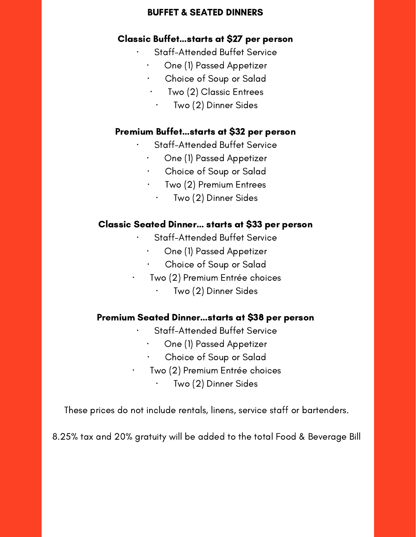#### BUFFET & SEATED DINNERS

## Classic Buffet…starts at \$27 per person

- Staff-Attended Buffet Service
- · One (1) Passed Appetizer
- · Choice of Soup or Salad
- · Two (2) Classic Entrees
	- · Two (2) Dinner Sides

# Premium Buffet…starts at \$32 per person

- Staff-Attended Buffet Service
- · One (1) Passed Appetizer
- · Choice of Soup or Salad
- Two (2) Premium Entrees
	- · Two (2) Dinner Sides

# Classic Seated Dinner… starts at \$33 per person

- Staff-Attended Buffet Service
- · One (1) Passed Appetizer
- Choice of Soup or Salad
- · Two (2) Premium Entrée choices
	- Two (2) Dinner Sides

#### Premium Seated Dinner…starts at \$38 per person

- Staff-Attended Buffet Service
- · One (1) Passed Appetizer
- Choice of Soup or Salad
- · Two (2) Premium Entrée choices
	- Two (2) Dinner Sides

These prices do not include rentals, linens, service staff or bartenders.

8.25% tax and 20% gratuity will be added to the total Food & Beverage Bill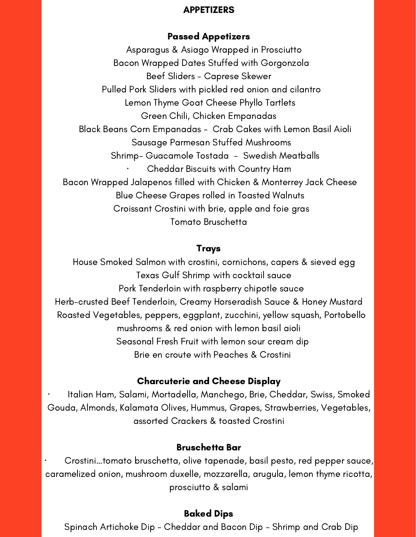## APPETIZERS

# Passed Appetizers

Asparagus & Asiago Wrapped in Prosciutto Bacon Wrapped Dates Stuffed with Gorgonzola Beef Sliders - Caprese Skewer Pulled Pork Sliders with pickled red onion and cilantro Lemon Thyme Goat Cheese Phyllo Tartlets Green Chili, Chicken Empanadas Black Beans Corn Empanadas - Crab Cakes with Lemon Basil Aioli Sausage Parmesan Stuffed Mushrooms Shrimp- Guacamole Tostada - Swedish Meatballs · Cheddar Biscuits with Country Ham Bacon Wrapped Jalapenos filled with Chicken & Monterrey Jack Cheese Blue Cheese Grapes rolled in Toasted Walnuts Croissant Crostini with brie, apple and foie gras Tomato Bruschetta

# Trays

House Smoked Salmon with crostini, cornichons, capers & sieved egg Texas Gulf Shrimp with cocktail sauce Pork Tenderloin with raspberry chipotle sauce Herb-crusted Beef Tenderloin, Creamy Horseradish Sauce & Honey Mustard Roasted Vegetables, peppers, eggplant, zucchini, yellow squash, Portobello mushrooms & red onion with lemon basil aioli Seasonal Fresh Fruit with lemon sour cream dip Brie en croute with Peaches & Crostini

# Charcuterie and Cheese Display

· Italian Ham, Salami, Mortadella, Manchego, Brie, Cheddar, Swiss, Smoked Gouda, Almonds, Kalamata Olives, Hummus, Grapes, Strawberries, Vegetables, assorted Crackers & toasted Crostini

# Bruschetta Bar

· Crostini…tomato bruschetta, olive tapenade, basil pesto, red pepper sauce, caramelized onion, mushroom duxelle, mozzarella, arugula, lemon thyme ricotta, prosciutto & salami

# Baked Dips

Spinach Artichoke Dip - Cheddar and Bacon Dip - Shrimp and Crab Dip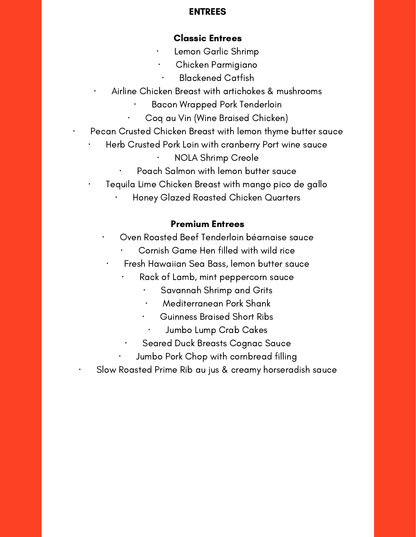# ENTREES

# Classic Entrees

- Lemon Garlic Shrimp
	- · Chicken Parmigiano
	- · Blackened Catfish
- Airline Chicken Breast with artichokes & mushrooms
	- · Bacon Wrapped Pork Tenderloin
	- · Coq au Vin (Wine Braised Chicken)
- Pecan Crusted Chicken Breast with lemon thyme butter sauce
	- Herb Crusted Pork Loin with cranberry Port wine sauce · NOLA Shrimp Creole
		- Poach Salmon with lemon butter sauce
	- Tequila Lime Chicken Breast with mango pico de gallo
		- · Honey Glazed Roasted Chicken Quarters

# Premium Entrees

- · Oven Roasted Beef Tenderloin béarnaise sauce
	- · Cornish Game Hen filled with wild rice
	- · Fresh Hawaiian Sea Bass, lemon butter sauce
		- Rack of Lamb, mint peppercorn sauce
			- Savannah Shrimp and Grits
			- · Mediterranean Pork Shank
			- · Guinness Braised Short Ribs
				- Jumbo Lump Crab Cakes
		- Seared Duck Breasts Cognac Sauce
			- · Jumbo Pork Chop with cornbread filling
- Slow Roasted Prime Rib au jus & creamy horseradish sauce